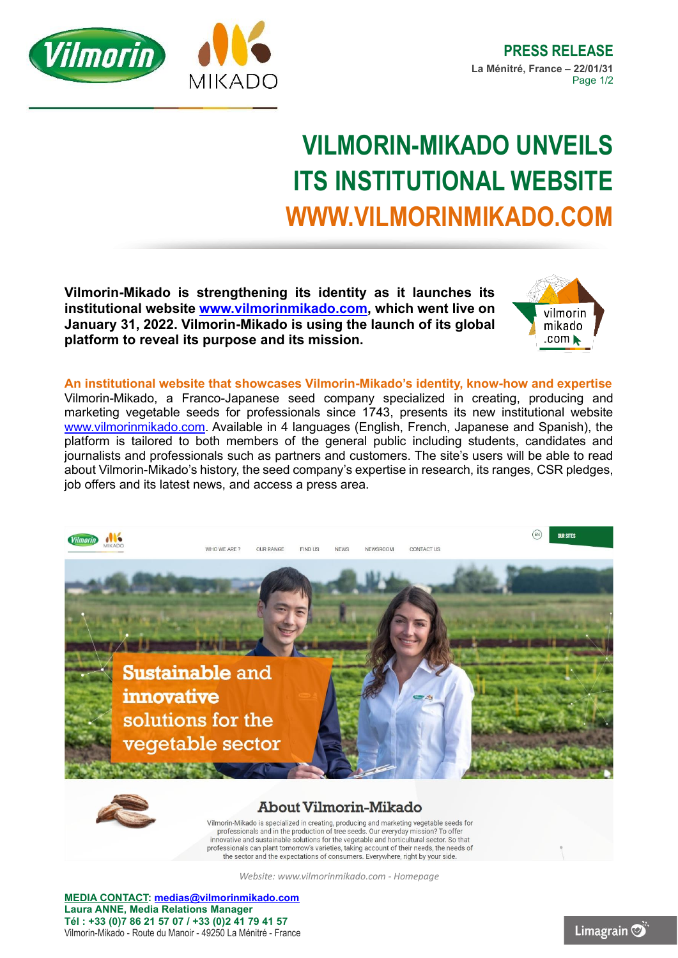

## **VILMORIN-MIKADO UNVEILS ITS INSTITUTIONAL WEBSITE WWW.VILMORINMIKADO.COM**

**Vilmorin-Mikado is strengthening its identity as it launches its institutional website [www.vilmorinmikado.com,](http://www.vilmorinmikado.com/) which went live on January 31, 2022. Vilmorin-Mikado is using the launch of its global platform to reveal its purpose and its mission.**



**An institutional website that showcases Vilmorin-Mikado's identity, know-how and expertise** Vilmorin-Mikado, a Franco-Japanese seed company specialized in creating, producing and marketing vegetable seeds for professionals since 1743, presents its new institutional website [www.vilmorinmikado.com.](http://www.vilmorinmikado.com/) Available in 4 languages (English, French, Japanese and Spanish), the platform is tailored to both members of the general public including students, candidates and journalists and professionals such as partners and customers. The site's users will be able to read about Vilmorin-Mikado's history, the seed company's expertise in research, its ranges, CSR pledges, job offers and its latest news, and access a press area.





## **About Vilmorin-Mikado**

Vilmorin-Mikado is specialized in creating, producing and marketing vegetable seeds for professionals and in the production of tree seeds. Our everyday mission? To offer innovative and sustainable solutions for the vegetable and horticultural sector. So that professionals can plant tomorrow's varieties, taking account of their needs, the needs of the sector and the expectations of consumers. Everywhere, right by your side

*Website: www.vilmorinmikado.com - Homepage*